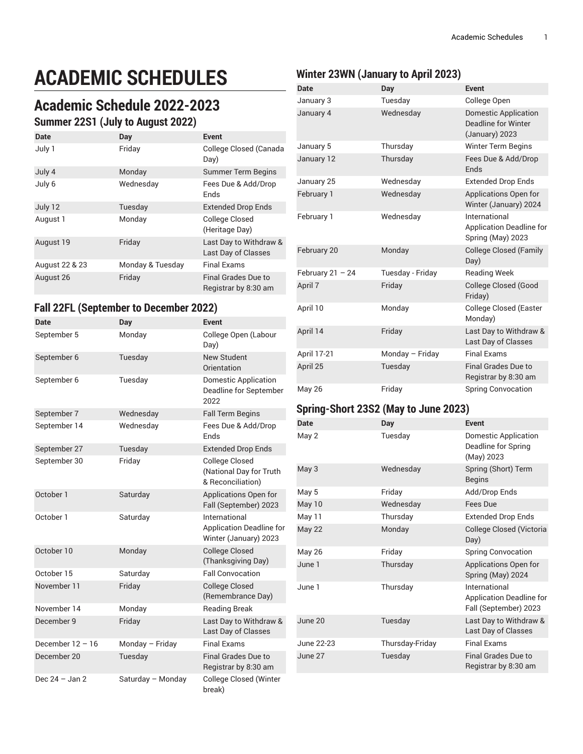# **ACADEMIC SCHEDULES**

## **Academic Schedule 2022-2023**

#### **Summer 22S1 (July to August 2022)**

| Date           | Day              | <b>Event</b>                                  |
|----------------|------------------|-----------------------------------------------|
| July 1         | Friday           | College Closed (Canada<br>Day)                |
| July 4         | Monday           | <b>Summer Term Begins</b>                     |
| July 6         | Wednesday        | Fees Due & Add/Drop<br>Ends                   |
| July 12        | Tuesday          | <b>Extended Drop Ends</b>                     |
| August 1       | Monday           | College Closed<br>(Heritage Day)              |
| August 19      | Friday           | Last Day to Withdraw &<br>Last Day of Classes |
| August 22 & 23 | Monday & Tuesday | <b>Final Exams</b>                            |
| August 26      | Friday           | Final Grades Due to<br>Registrar by 8:30 am   |

#### **Fall 22FL (September to December 2022)**

| Date               | <b>Day</b>        | <b>Event</b>                                                              |
|--------------------|-------------------|---------------------------------------------------------------------------|
| September 5        | Monday            | College Open (Labour<br>Day)                                              |
| September 6        | Tuesday           | <b>New Student</b><br>Orientation                                         |
| September 6        | Tuesday           | <b>Domestic Application</b><br>Deadline for September<br>2022             |
| September 7        | Wednesday         | <b>Fall Term Begins</b>                                                   |
| September 14       | Wednesday         | Fees Due & Add/Drop<br>Ends                                               |
| September 27       | Tuesday           | <b>Extended Drop Ends</b>                                                 |
| September 30       | Friday            | <b>College Closed</b><br>(National Day for Truth<br>& Reconciliation)     |
| October 1          | Saturday          | Applications Open for<br>Fall (September) 2023                            |
| October 1          | Saturday          | International<br><b>Application Deadline for</b><br>Winter (January) 2023 |
| October 10         | Monday            | <b>College Closed</b><br>(Thanksgiving Day)                               |
| October 15         | Saturday          | <b>Fall Convocation</b>                                                   |
| November 11        | Friday            | <b>College Closed</b><br>(Remembrance Day)                                |
| November 14        | Monday            | <b>Reading Break</b>                                                      |
| December 9         | Friday            | Last Day to Withdraw &<br>Last Day of Classes                             |
| December $12 - 16$ | Monday - Friday   | <b>Final Exams</b>                                                        |
| December 20        | Tuesday           | <b>Final Grades Due to</b><br>Registrar by 8:30 am                        |
| Dec $24 - Jan 2$   | Saturday - Monday | College Closed (Winter<br>break)                                          |

#### **Winter 23WN (January to April 2023)**

| Date               | Day              | <b>Event</b>                                                                |
|--------------------|------------------|-----------------------------------------------------------------------------|
| January 3          | Tuesday          | College Open                                                                |
| January 4          | Wednesday        | <b>Domestic Application</b><br><b>Deadline for Winter</b><br>(January) 2023 |
| January 5          | Thursday         | <b>Winter Term Begins</b>                                                   |
| January 12         | Thursday         | Fees Due & Add/Drop<br>Ends                                                 |
| January 25         | Wednesday        | <b>Extended Drop Ends</b>                                                   |
| February 1         | Wednesday        | Applications Open for<br>Winter (January) 2024                              |
| February 1         | Wednesday        | International<br><b>Application Deadline for</b><br>Spring (May) 2023       |
| February 20        | Monday           | <b>College Closed (Family</b><br>Day)                                       |
| February $21 - 24$ | Tuesday - Friday | <b>Reading Week</b>                                                         |
| April 7            | Friday           | College Closed (Good<br>Friday)                                             |
| April 10           | Monday           | <b>College Closed (Easter</b><br>Monday)                                    |
| April 14           | Friday           | Last Day to Withdraw &<br>Last Day of Classes                               |
| April 17-21        | Monday - Friday  | <b>Final Exams</b>                                                          |
| April 25           | Tuesday          | <b>Final Grades Due to</b><br>Registrar by 8:30 am                          |
| <b>May 26</b>      | Friday           | <b>Spring Convocation</b>                                                   |

#### **Spring-Short 23S2 (May to June 2023)**

| Date          | Day             | <b>Event</b>                                                              |
|---------------|-----------------|---------------------------------------------------------------------------|
| May 2         | Tuesday         | Domestic Application<br>Deadline for Spring<br>(May) 2023                 |
| May 3         | Wednesday       | Spring (Short) Term<br><b>Begins</b>                                      |
| May 5         | Friday          | Add/Drop Ends                                                             |
| May 10        | Wednesday       | Fees Due                                                                  |
| May 11        | Thursday        | <b>Extended Drop Ends</b>                                                 |
| <b>May 22</b> | Monday          | College Closed (Victoria<br>Day)                                          |
| <b>May 26</b> | Friday          | <b>Spring Convocation</b>                                                 |
| June 1        | Thursday        | Applications Open for<br>Spring (May) 2024                                |
| June 1        | Thursday        | International<br><b>Application Deadline for</b><br>Fall (September) 2023 |
| June 20       | Tuesday         | Last Day to Withdraw &<br>Last Day of Classes                             |
| June 22-23    | Thursday-Friday | <b>Final Exams</b>                                                        |
| June 27       | Tuesday         | <b>Final Grades Due to</b><br>Registrar by 8:30 am                        |